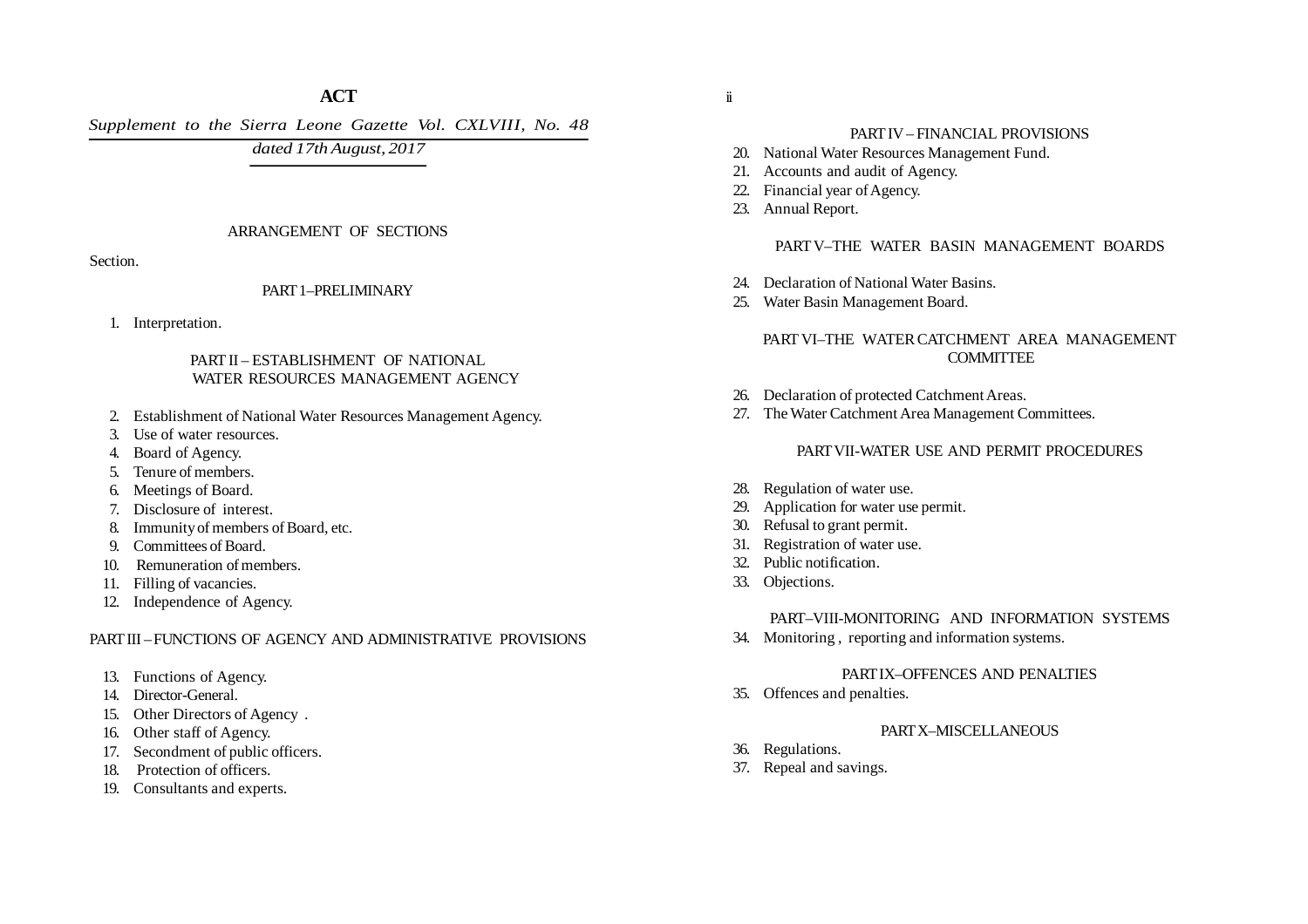# **ACT**

*Supplement to the Sierra Leone Gazette Vol. CXLVIII, No. 48*

*dated 17th August, 2017*

### ARRANGEMENT OF SECTIONS

Section.

## PART 1–PRELIMINARY

1. Interpretation.

# PART II – ESTABLISHMENT OF NATIONAL WATER RESOURCES MANAGEMENT AGENCY

- 2. Establishment of National Water Resources Management Agency.
- 3. Use of water resources.
- 4. Board of Agency.
- 5. Tenure of members.
- 6. Meetings of Board.
- 7. Disclosure of interest.
- 8. Immunity of members of Board, etc.
- 9. Committees of Board.
- 10. Remuneration of members.
- 11. Filling of vacancies.
- 12. Independence of Agency.

# PART III – FUNCTIONS OF AGENCY AND ADMINISTRATIVE PROVISIONS

- 13. Functions of Agency.
- 14. Director-General.
- 15. Other Directors of Agency .
- 16. Other staff of Agency.
- 17. Secondment of public officers.
- 18. Protection of officers.
- 19. Consultants and experts.

# PART IV – FINANCIAL PROVISIONS

- 20. National Water Resources Management Fund.
- 21. Accounts and audit of Agency.
- 22. Financial year of Agency.
- 23. Annual Report.

# PART V–THE WATER BASIN MANAGEMENT BOARDS

- 24. Declaration of National Water Basins.
- 25. Water Basin Management Board.

# PART VI–THE WATER CATCHMENT AREA MANAGEMENT **COMMITTEE**

- 26. Declaration of protected Catchment Areas.
- 27. The Water Catchment Area Management Committees.

## PART VII-WATER USE AND PERMIT PROCEDURES

- 28. Regulation of water use.
- 29. Application for water use permit.
- 30. Refusal to grant permit.
- 31. Registration of water use.
- 32. Public notification.
- 33. Objections.

## PART–VIII-MONITORING AND INFORMATION SYSTEMS

34. Monitoring , reporting and information systems.

## PART IX–OFFENCES AND PENALTIES

- 35. Offences and penalties.
	- PART X–MISCELLANEOUS
- 36. Regulations.
- 37. Repeal and savings.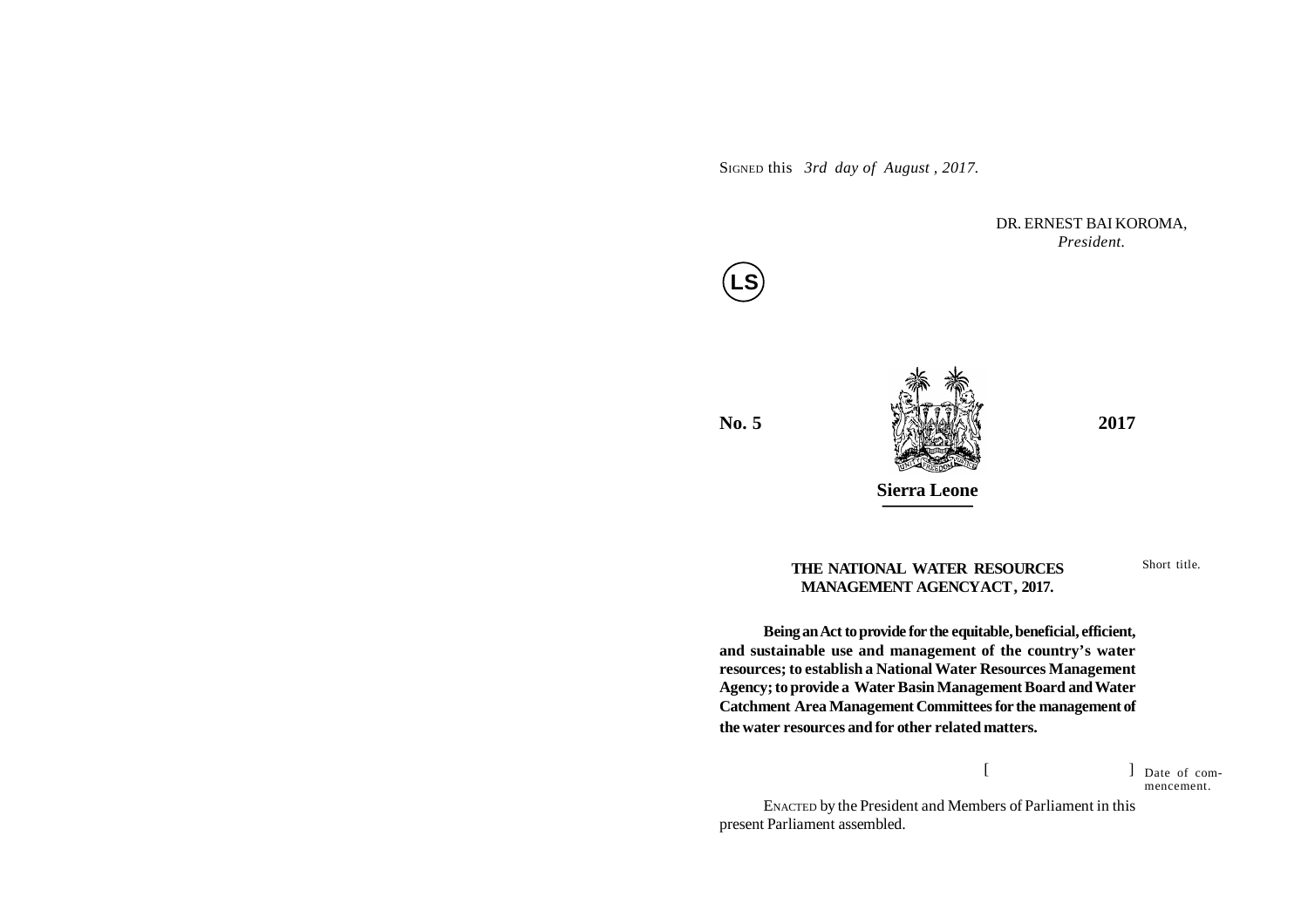SIGNED this *3rd day of August , 2017.*

DR. ERNEST BAI KOROMA, *President.*



**No. 5** *<i>A A A A A A A A A A A A A A A A A A A A A A A A A A A A A A A A A A A A* 



**THE NATIONAL WATER RESOURCES MANAGEMENT AGENCYACT, 2017.**

Short title.

# **Being an Act to provide for the equitable, beneficial, efficient, and sustainable use and management of the country's water resources; to establish a National Water Resources Management Agency; to provide a Water Basin Management Board and Water Catchment Area Management Committees for the management of the water resources and for other related matters.**

 $[$   $]$ Date of commencement.

ENACTED by the President and Members of Parliament in this present Parliament assembled.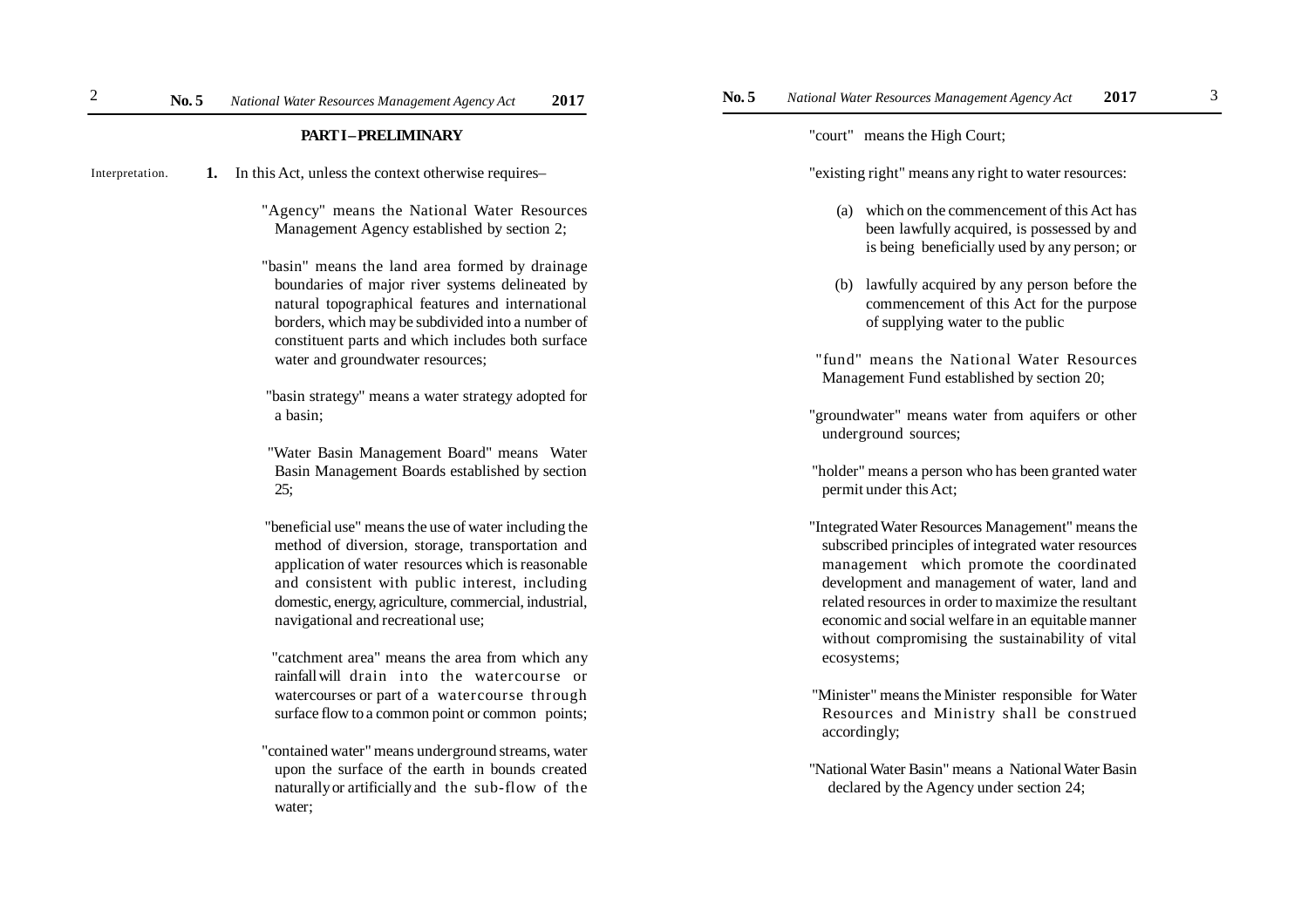**1.** In this Act, unless the context otherwise requires– Interpretation.

> "Agency" means the National Water Resources Management Agency established by section 2;

"basin" means the land area formed by drainage boundaries of major river systems delineated by natural topographical features and international borders, which may be subdivided into a number of constituent parts and which includes both surface water and groundwater resources;

 "basin strategy" means a water strategy adopted for a basin;

 "Water Basin Management Board" means Water Basin Management Boards established by section 25;

 "beneficial use" means the use of water including the method of diversion, storage, transportation and application of water resources which is reasonable and consistent with public interest, including domestic, energy, agriculture, commercial, industrial, navigational and recreational use;

 "catchment area" means the area from which any rainfall will drain into the watercourse or watercourses or part of a watercourse through surface flow to a common point or common points;

"contained water" means underground streams, water upon the surface of the earth in bounds created naturally or artificially and the sub-flow of the water;

"court" means the High Court;

"existing right" means any right to water resources:

- (a) which on the commencement of this Act has been lawfully acquired, is possessed by and is being beneficially used by any person; or
- (b) lawfully acquired by any person before the commencement of this Act for the purpose of supplying water to the public
- "fund" means the National Water Resources Management Fund established by section 20;
- "groundwater" means water from aquifers or other underground sources;
- "holder" means a person who has been granted water permit under this Act;
- "Integrated Water Resources Management" means the subscribed principles of integrated water resources management which promote the coordinated development and management of water, land and related resources in order to maximize the resultant economic and social welfare in an equitable manner without compromising the sustainability of vital ecosystems;
- "Minister" means the Minister responsible for Water Resources and Ministry shall be construed accordingly;
- "National Water Basin" means a National Water Basin declared by the Agency under section 24;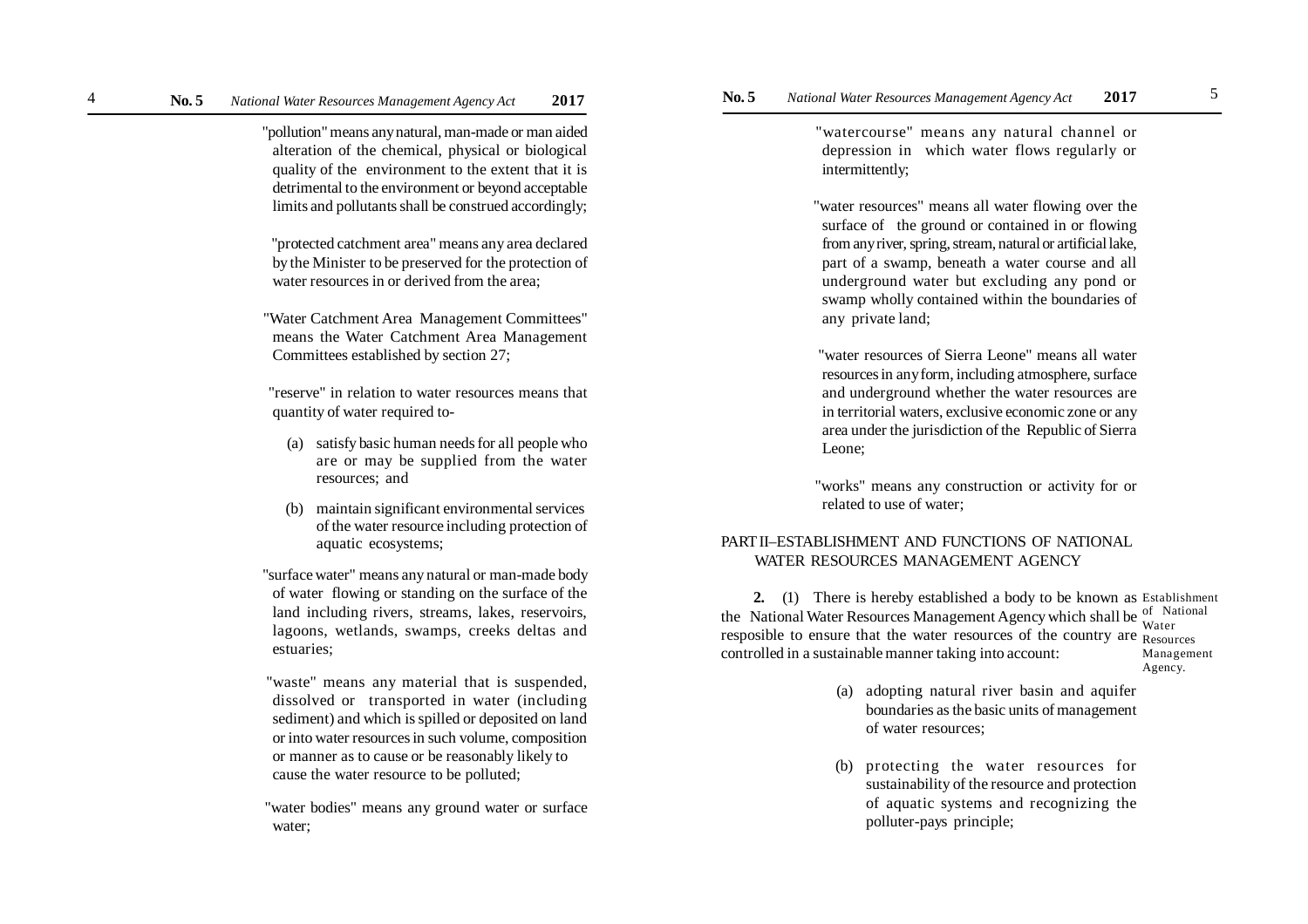"pollution" means any natural, man-made or man aided alteration of the chemical, physical or biological quality of the environment to the extent that it is detrimental to the environment or beyond acceptable limits and pollutants shall be construed accordingly;

 "protected catchment area" means any area declared by the Minister to be preserved for the protection of water resources in or derived from the area;

 "Water Catchment Area Management Committees" means the Water Catchment Area Management Committees established by section 27;

 "reserve" in relation to water resources means that quantity of water required to-

- (a) satisfy basic human needs for all people who are or may be supplied from the water resources; and
- (b) maintain significant environmental services of the water resource including protection of aquatic ecosystems;
- "surface water" means any natural or man-made body of water flowing or standing on the surface of the land including rivers, streams, lakes, reservoirs, lagoons, wetlands, swamps, creeks deltas and estuaries;
- "waste" means any material that is suspended, dissolved or transported in water (including sediment) and which is spilled or deposited on land or into water resources in such volume, composition or manner as to cause or be reasonably likely to cause the water resource to be polluted;

 "water bodies" means any ground water or surface water;

 "watercourse" means any natural channel or depression in which water flows regularly or intermittently;

 "water resources" means all water flowing over the surface of the ground or contained in or flowing from any river, spring, stream, natural or artificial lake, part of a swamp, beneath a water course and all underground water but excluding any pond or swamp wholly contained within the boundaries of any private land;

 "water resources of Sierra Leone" means all water resources in any form, including atmosphere, surface and underground whether the water resources are in territorial waters, exclusive economic zone or any area under the jurisdiction of the Republic of Sierra Leone;

 "works" means any construction or activity for or related to use of water;

# PART II–ESTABLISHMENT AND FUNCTIONS OF NATIONAL WATER RESOURCES MANAGEMENT AGENCY

**2.** (1) There is hereby established a body to be known as Establishment the National Water Resources Management Agency which shall be  $\frac{0}{W_{\text{other}}}$ <sup>of</sup> National resposible to ensure that the water resources of the country are Resources controlled in a sustainable manner taking into account: Water Management Agency.

- (a) adopting natural river basin and aquifer boundaries as the basic units of management of water resources;
- (b) protecting the water resources for sustainability of the resource and protection of aquatic systems and recognizing the polluter-pays principle;

4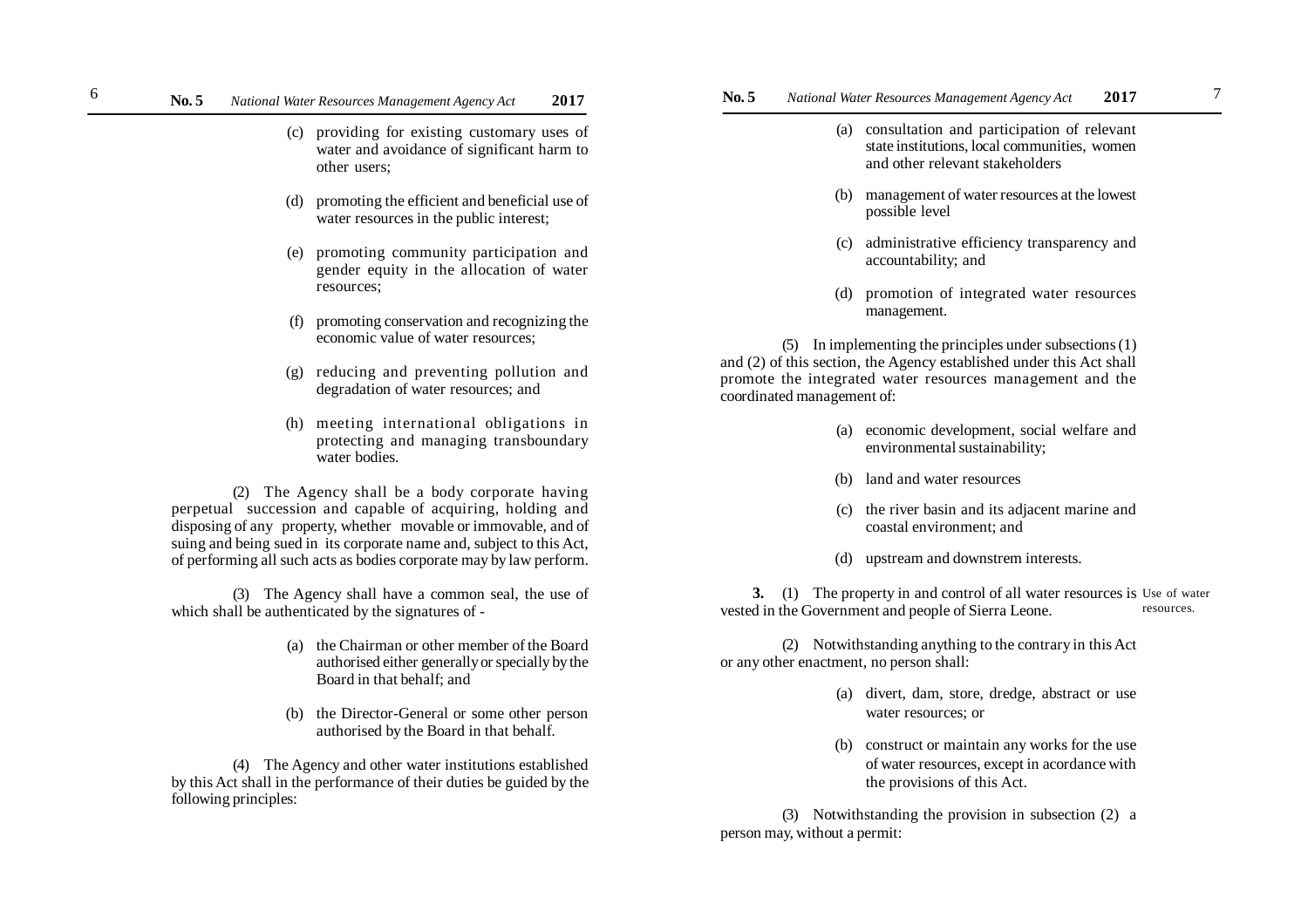# **No. 5** *National Water Resources Management Agency Act* **2017 No. 5** *National Water Resources Management Agency Act* **2017** 6 7

- (c) providing for existing customary uses of water and avoidance of significant harm to other users;
- (d) promoting the efficient and beneficial use of water resources in the public interest;
- (e) promoting community participation and gender equity in the allocation of water resources;
- (f) promoting conservation and recognizing the economic value of water resources;
- (g) reducing and preventing pollution and degradation of water resources; and
- (h) meeting international obligations in protecting and managing transboundary water bodies.

(2) The Agency shall be a body corporate having perpetual succession and capable of acquiring, holding and disposing of any property, whether movable or immovable, and of suing and being sued in its corporate name and, subject to this Act, of performing all such acts as bodies corporate may by law perform.

(3) The Agency shall have a common seal, the use of which shall be authenticated by the signatures of -

- (a) the Chairman or other member of the Board authorised either generally or specially by the Board in that behalf; and
- (b) the Director-General or some other person authorised by the Board in that behalf.

(4) The Agency and other water institutions established by this Act shall in the performance of their duties be guided by the following principles:

- (a) consultation and participation of relevant state institutions, local communities, women and other relevant stakeholders
- (b) management of water resources at the lowest possible level
- (c) administrative efficiency transparency and accountability; and
- (d) promotion of integrated water resources management.

(5) In implementing the principles under subsections (1) and (2) of this section, the Agency established under this Act shall promote the integrated water resources management and the coordinated management of:

- (a) economic development, social welfare and environmental sustainability;
- (b) land and water resources
- (c) the river basin and its adjacent marine and coastal environment; and
- (d) upstream and downstrem interests.

**3.** (1) The property in and control of all water resources is Use of water vested in the Government and people of Sierra Leone. resources.

(2) Notwithstanding anything to the contrary in this Act or any other enactment, no person shall:

- (a) divert, dam, store, dredge, abstract or use water resources; or
- (b) construct or maintain any works for the use of water resources, except in acordance with the provisions of this Act.

(3) Notwithstanding the provision in subsection (2) a person may, without a permit: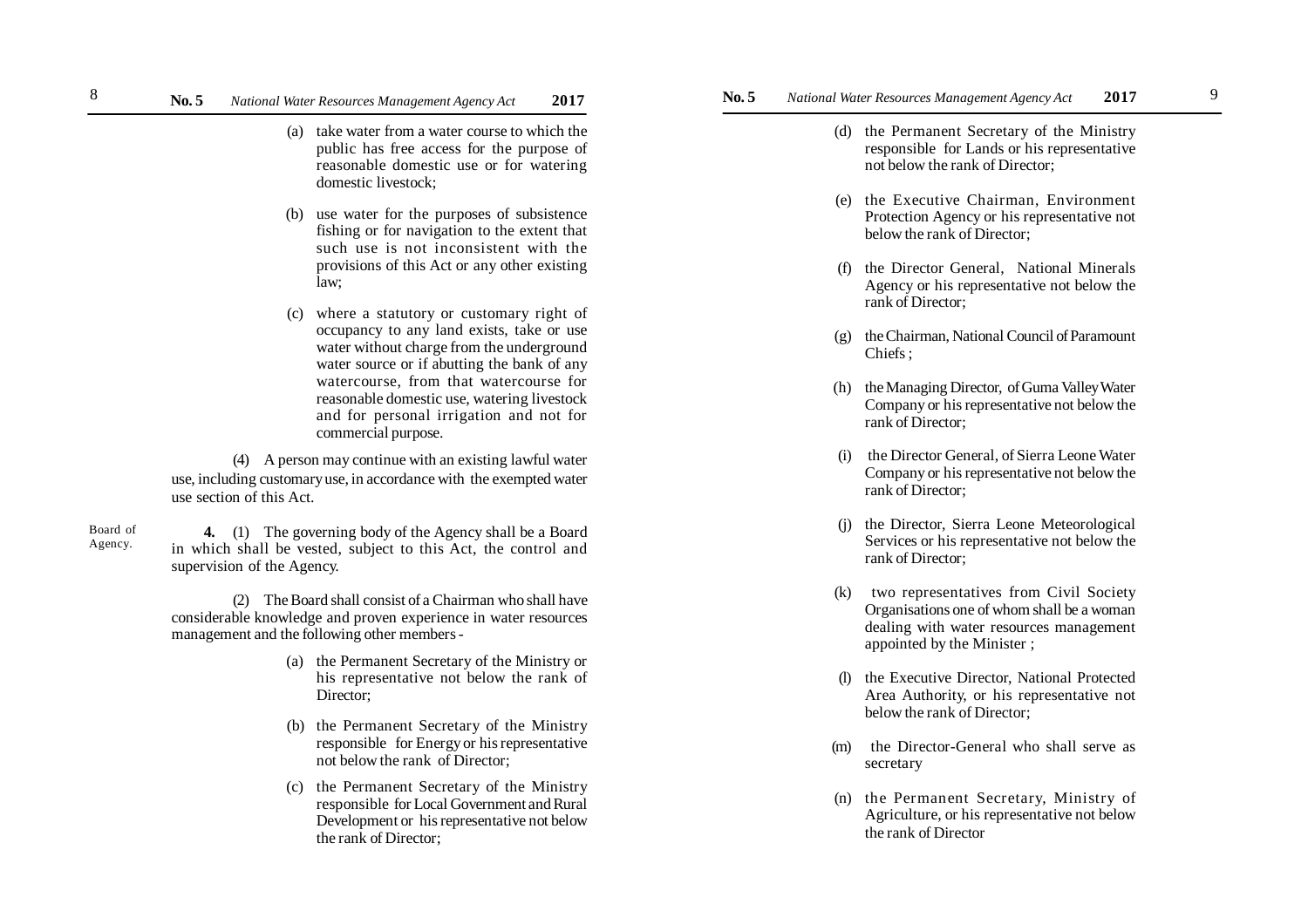- (a) take water from a water course to which the public has free access for the purpose of reasonable domestic use or for watering domestic livestock;
- (b) use water for the purposes of subsistence fishing or for navigation to the extent that such use is not inconsistent with the provisions of this Act or any other existing law;
- (c) where a statutory or customary right of occupancy to any land exists, take or use water without charge from the underground water source or if abutting the bank of any watercourse, from that watercourse for reasonable domestic use, watering livestock and for personal irrigation and not for commercial purpose.

(4) A person may continue with an existing lawful water use, including customary use, in accordance with the exempted water use section of this Act.

Board of Agency.

8

**4.** (1) The governing body of the Agency shall be a Board in which shall be vested, subject to this Act, the control and supervision of the Agency.

(2) The Board shall consist of a Chairman who shall have considerable knowledge and proven experience in water resources management and the following other members -

- (a) the Permanent Secretary of the Ministry or his representative not below the rank of Director;
- (b) the Permanent Secretary of the Ministry responsible for Energy or his representative not below the rank of Director;
- (c) the Permanent Secretary of the Ministry responsible for Local Government and Rural Development or his representative not below the rank of Director;
- **No. 5** *National Water Resources Management Agency Act* **2017 No. 5** *National Water Resources Management Agency Act* **2017**
	- (d) the Permanent Secretary of the Ministry responsible for Lands or his representative not below the rank of Director;
	- (e) the Executive Chairman, Environment Protection Agency or his representative not below the rank of Director;
	- (f) the Director General, National Minerals Agency or his representative not below the rank of Director;
	- (g) the Chairman, National Council of Paramount Chiefs ;
	- (h) the Managing Director, of Guma Valley Water Company or his representative not below the rank of Director;
	- (i) the Director General, of Sierra Leone Water Company or his representative not below the rank of Director;
	- (j) the Director, Sierra Leone Meteorological Services or his representative not below the rank of Director;
	- (k) two representatives from Civil Society Organisations one of whom shall be a woman dealing with water resources management appointed by the Minister ;
	- (l) the Executive Director, National Protected Area Authority, or his representative not below the rank of Director;
	- (m) the Director-General who shall serve as secretary
	- (n) the Permanent Secretary, Ministry of Agriculture, or his representative not below the rank of Director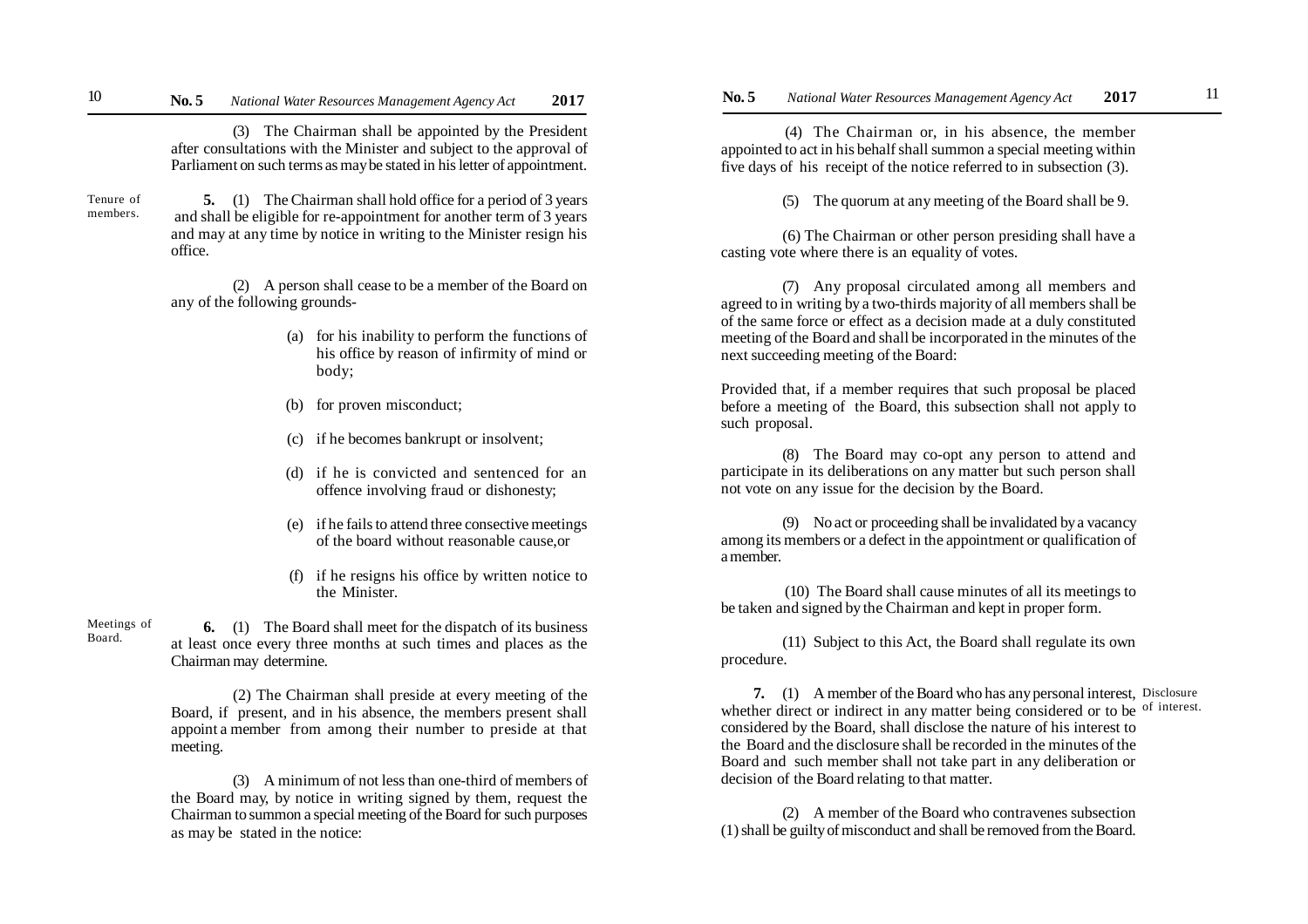# **No. 5** *National Water Resources Management Agency Act* **2017 No. 5** *National Water Resources Management Agency Act* **2017** <sup>11</sup>

(3) The Chairman shall be appointed by the President after consultations with the Minister and subject to the approval of Parliament on such terms as may be stated in his letter of appointment.

Tenure of members.

**5.** (1) The Chairman shall hold office for a period of 3 years and shall be eligible for re-appointment for another term of 3 years and may at any time by notice in writing to the Minister resign his office.

(2) A person shall cease to be a member of the Board on any of the following grounds-

- (a) for his inability to perform the functions of his office by reason of infirmity of mind or body;
- (b) for proven misconduct;
- (c) if he becomes bankrupt or insolvent;
- (d) if he is convicted and sentenced for an offence involving fraud or dishonesty;
- (e) if he fails to attend three consective meetings of the board without reasonable cause,or
- (f) if he resigns his office by written notice to the Minister.

Meetings of Board.

**6.** (1) The Board shall meet for the dispatch of its business at least once every three months at such times and places as the Chairman may determine.

(2) The Chairman shall preside at every meeting of the Board, if present, and in his absence, the members present shall appoint a member from among their number to preside at that meeting.

(3) A minimum of not less than one-third of members of the Board may, by notice in writing signed by them, request the Chairman to summon a special meeting of the Board for such purposes as may be stated in the notice:

 (4) The Chairman or, in his absence, the member appointed to act in his behalf shall summon a special meeting within five days of his receipt of the notice referred to in subsection (3).

(5) The quorum at any meeting of the Board shall be 9.

(6) The Chairman or other person presiding shall have a casting vote where there is an equality of votes.

(7) Any proposal circulated among all members and agreed to in writing by a two-thirds majority of all members shall be of the same force or effect as a decision made at a duly constituted meeting of the Board and shall be incorporated in the minutes of the next succeeding meeting of the Board:

Provided that, if a member requires that such proposal be placed before a meeting of the Board, this subsection shall not apply to such proposal.

(8) The Board may co-opt any person to attend and participate in its deliberations on any matter but such person shall not vote on any issue for the decision by the Board.

(9) No act or proceeding shall be invalidated by a vacancy among its members or a defect in the appointment or qualification of a member.

 (10) The Board shall cause minutes of all its meetings to be taken and signed by the Chairman and kept in proper form.

(11) Subject to this Act, the Board shall regulate its own procedure.

**7.** (1) A member of the Board who has any personal interest, Disclosure whether direct or indirect in any matter being considered or to be <sup>of interest.</sup> considered by the Board, shall disclose the nature of his interest to the Board and the disclosure shall be recorded in the minutes of the Board and such member shall not take part in any deliberation or decision of the Board relating to that matter.

(2) A member of the Board who contravenes subsection (1) shall be guilty of misconduct and shall be removed from the Board.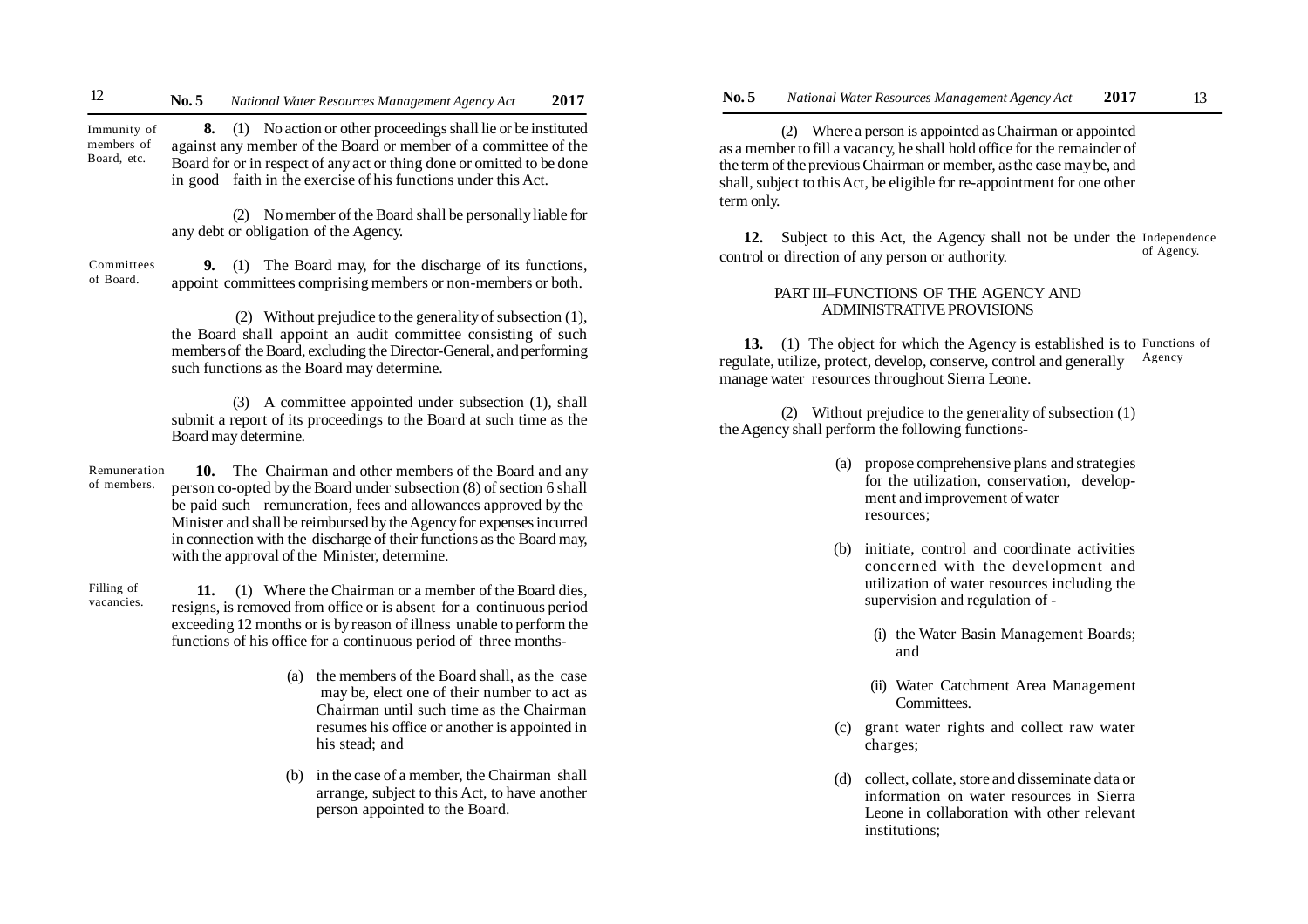**8.** (1) No action or other proceedings shall lie or be instituted against any member of the Board or member of a committee of the Board for or in respect of any act or thing done or omitted to be done in good faith in the exercise of his functions under this Act. Immunity of members of Board, etc.

> (2) No member of the Board shall be personally liable for any debt or obligation of the Agency.

**9.** (1) The Board may, for the discharge of its functions, appoint committees comprising members or non-members or both. Committees of Board.

> (2) Without prejudice to the generality of subsection (1), the Board shall appoint an audit committee consisting of such members of the Board, excluding the Director-General, and performing such functions as the Board may determine.

> (3) A committee appointed under subsection (1), shall submit a report of its proceedings to the Board at such time as the Board may determine.

**10.** The Chairman and other members of the Board and any person co-opted by the Board under subsection (8) of section 6 shall be paid such remuneration, fees and allowances approved by the Minister and shall be reimbursed by the Agency for expenses incurred in connection with the discharge of their functions as the Board may, with the approval of the Minister, determine. Remuneration of members.

**11.** (1) Where the Chairman or a member of the Board dies, resigns, is removed from office or is absent for a continuous period exceeding 12 months or is by reason of illness unable to perform the functions of his office for a continuous period of three months- Filling of vacancies.

- (a) the members of the Board shall, as the case may be, elect one of their number to act as Chairman until such time as the Chairman resumes his office or another is appointed in his stead; and
- (b) in the case of a member, the Chairman shall arrange, subject to this Act, to have another person appointed to the Board.

(2) Where a person is appointed as Chairman or appointed as a member to fill a vacancy, he shall hold office for the remainder of the term of the previous Chairman or member, as the case may be, and shall, subject to this Act, be eligible for re-appointment for one other term only.

**12.** Subject to this Act, the Agency shall not be under the Independence control or direction of any person or authority. of Agency.

## PART III–FUNCTIONS OF THE AGENCY AND ADMINISTRATIVE PROVISIONS

13. (1) The object for which the Agency is established is to Functions of regulate, utilize, protect, develop, conserve, control and generally manage water resources throughout Sierra Leone. Agency

(2) Without prejudice to the generality of subsection (1) the Agency shall perform the following functions-

- (a) propose comprehensive plans and strategies for the utilization, conservation, development and improvement of water resources;
- (b) initiate, control and coordinate activities concerned with the development and utilization of water resources including the supervision and regulation of -
	- (i) the Water Basin Management Boards; and
	- (ii) Water Catchment Area Management Committees.
- (c) grant water rights and collect raw water charges;
- (d) collect, collate, store and disseminate data or information on water resources in Sierra Leone in collaboration with other relevant institutions;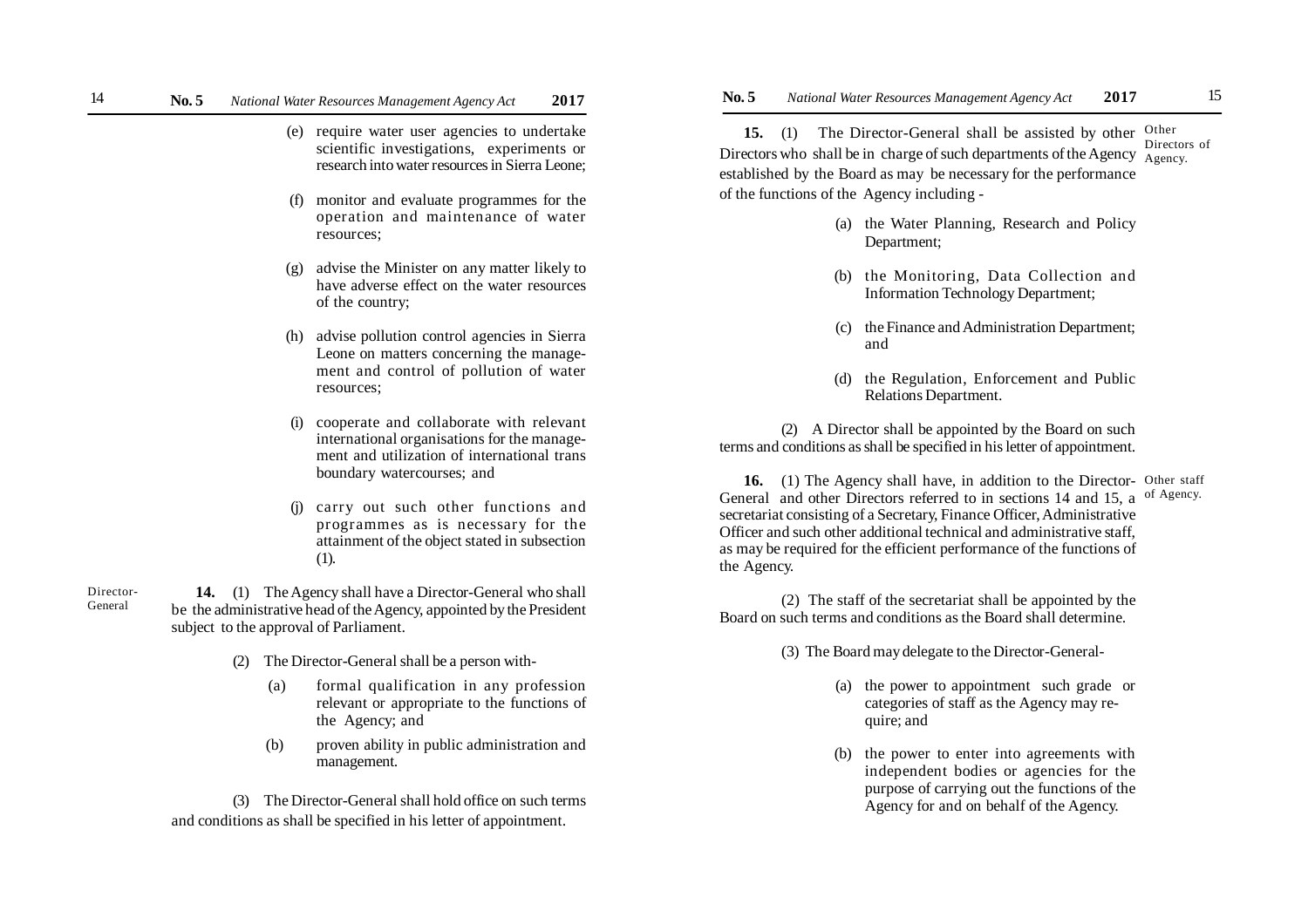- (e) require water user agencies to undertake scientific investigations, experiments or research into water resources in Sierra Leone;
- (f) monitor and evaluate programmes for the operation and maintenance of water resources;
- (g) advise the Minister on any matter likely to have adverse effect on the water resources of the country;
- (h) advise pollution control agencies in Sierra Leone on matters concerning the management and control of pollution of water resources;
- (i) cooperate and collaborate with relevant international organisations for the management and utilization of international trans boundary watercourses; and
- (j) carry out such other functions and programmes as is necessary for the attainment of the object stated in subsection (1).

 **14.** (1) The Agency shall have a Director-General who shall be the administrative head of the Agency, appointed by the President subject to the approval of Parliament. Director-General

- (2) The Director-General shall be a person with-
	- (a) formal qualification in any profession relevant or appropriate to the functions of the Agency; and
	- (b) proven ability in public administration and management.

(3) The Director-General shall hold office on such terms and conditions as shall be specified in his letter of appointment.

**15.** (1) The Director-General shall be assisted by other Other Directors who shall be in charge of such departments of the Agency  $\frac{\text{Pheles}}{\text{Agency}}$ . established by the Board as may be necessary for the performance of the functions of the Agency including - Directors of

- (a) the Water Planning, Research and Policy Department;
- (b) the Monitoring, Data Collection and Information Technology Department;
- (c) the Finance and Administration Department; and
- (d) the Regulation, Enforcement and Public Relations Department.

(2) A Director shall be appointed by the Board on such terms and conditions as shall be specified in his letter of appointment.

16. (1) The Agency shall have, in addition to the Director- Other staff General and other Directors referred to in sections 14 and 15, a secretariat consisting of a Secretary, Finance Officer, Administrative Officer and such other additional technical and administrative staff, as may be required for the efficient performance of the functions of the Agency. of Agency.

(2) The staff of the secretariat shall be appointed by the Board on such terms and conditions as the Board shall determine.

(3) The Board may delegate to the Director-General-

- (a) the power to appointment such grade or categories of staff as the Agency may require; and
- (b) the power to enter into agreements with independent bodies or agencies for the purpose of carrying out the functions of the Agency for and on behalf of the Agency.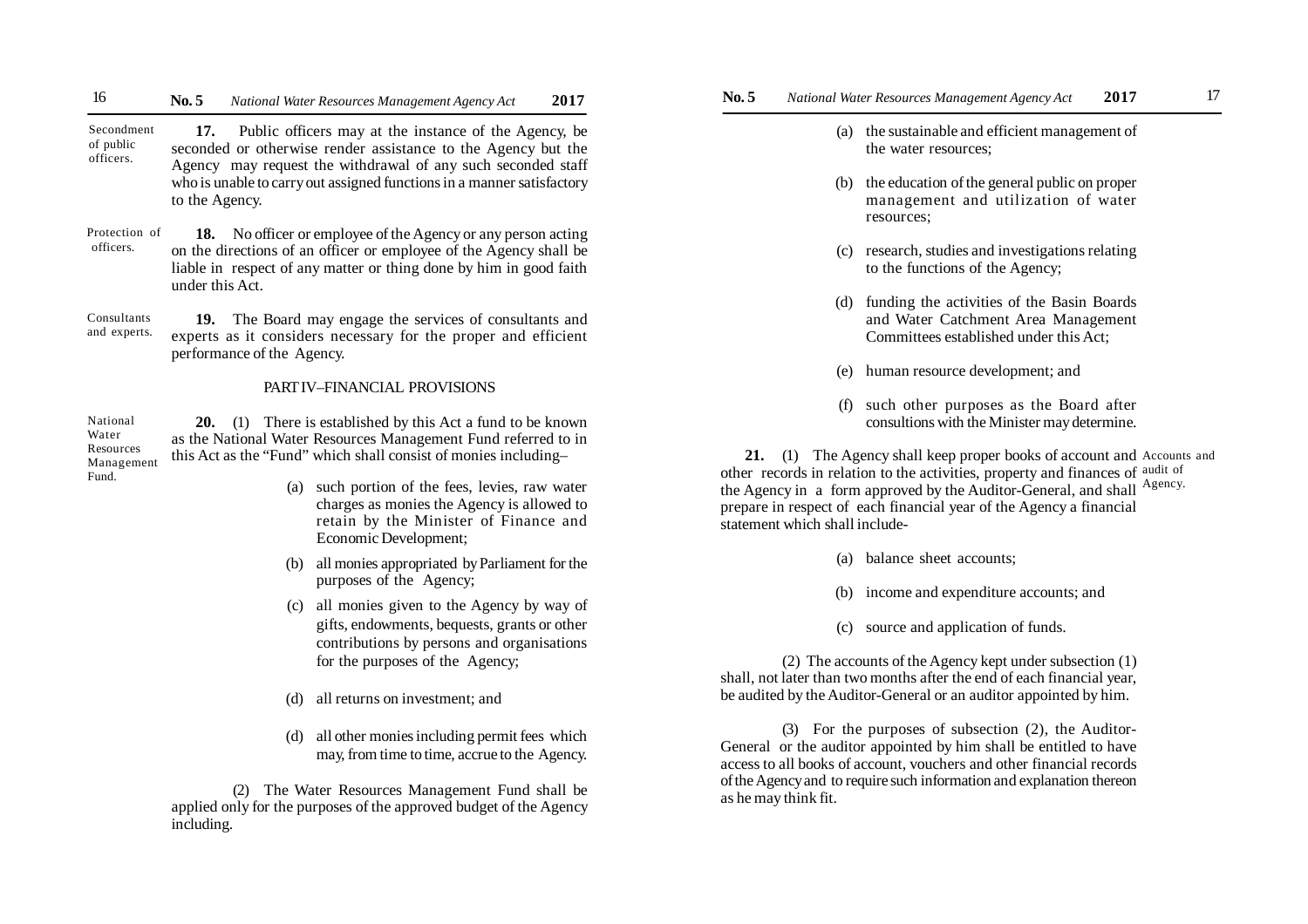**17.** Public officers may at the instance of the Agency, be seconded or otherwise render assistance to the Agency but the Agency may request the withdrawal of any such seconded staff who is unable to carry out assigned functions in a manner satisfactory to the Agency. Secondment of public officers.

**18.** No officer or employee of the Agency or any person acting on the directions of an officer or employee of the Agency shall be liable in respect of any matter or thing done by him in good faith under this Act. Protection of officers.

**19.** The Board may engage the services of consultants and experts as it considers necessary for the proper and efficient performance of the Agency. Consultants and experts.

### PART IV–FINANCIAL PROVISIONS

**20.** (1) There is established by this Act a fund to be known as the National Water Resources Management Fund referred to in this Act as the "Fund" which shall consist of monies including– National Water Resources Management Fund.

- (a) such portion of the fees, levies, raw water charges as monies the Agency is allowed to retain by the Minister of Finance and Economic Development;
- (b) all monies appropriated by Parliament for the purposes of the Agency;
- (c) all monies given to the Agency by way of gifts, endowments, bequests, grants or other contributions by persons and organisations for the purposes of the Agency;
- (d) all returns on investment; and
- (d) all other monies including permit fees which may, from time to time, accrue to the Agency.

(2) The Water Resources Management Fund shall be applied only for the purposes of the approved budget of the Agency including.

- (a) the sustainable and efficient management of the water resources;
- (b) the education of the general public on proper management and utilization of water resources;
- (c) research, studies and investigations relating to the functions of the Agency;
- (d) funding the activities of the Basin Boards and Water Catchment Area Management Committees established under this Act;
- (e) human resource development; and
- (f) such other purposes as the Board after consultions with the Minister may determine.

21. (1) The Agency shall keep proper books of account and Accounts and other records in relation to the activities, property and finances of audit of the Agency in a form approved by the Auditor-General, and shall Agency. prepare in respect of each financial year of the Agency a financial statement which shall include-

- (a) balance sheet accounts;
- (b) income and expenditure accounts; and
- (c) source and application of funds.

(2) The accounts of the Agency kept under subsection (1) shall, not later than two months after the end of each financial year, be audited by the Auditor-General or an auditor appointed by him.

(3) For the purposes of subsection (2), the Auditor-General or the auditor appointed by him shall be entitled to have access to all books of account, vouchers and other financial records of the Agency and to require such information and explanation thereon as he may think fit.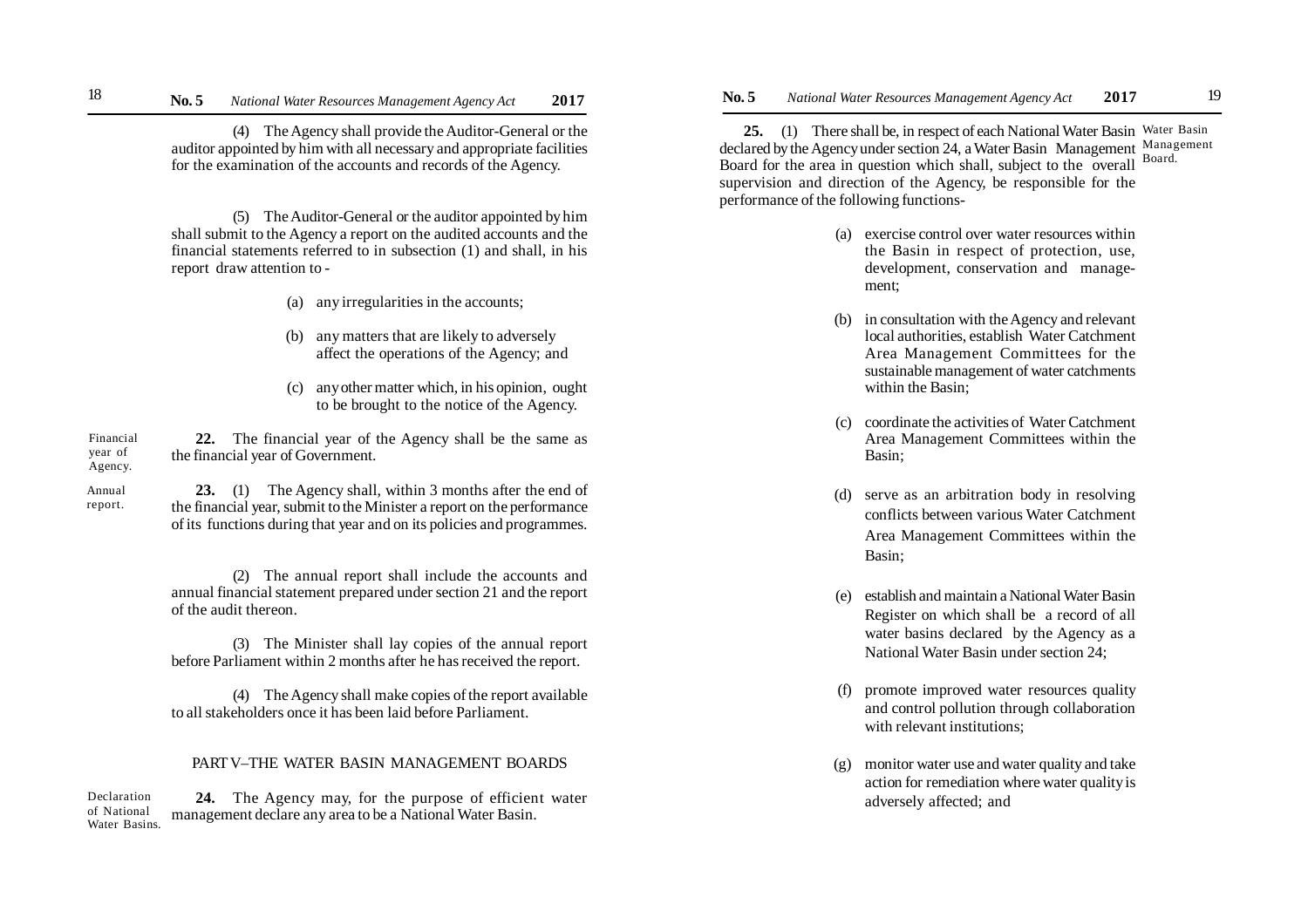(4) The Agency shall provide the Auditor-General or the auditor appointed by him with all necessary and appropriate facilities for the examination of the accounts and records of the Agency.

(5) The Auditor-General or the auditor appointed by him shall submit to the Agency a report on the audited accounts and the financial statements referred to in subsection (1) and shall, in his report draw attention to -

- (a) any irregularities in the accounts;
- (b) any matters that are likely to adversely affect the operations of the Agency; and
- (c) any other matter which, in his opinion, ought to be brought to the notice of the Agency.

**22.** The financial year of the Agency shall be the same as the financial year of Government. Financial year of Agency.

Annual report.

**23.** (1) The Agency shall, within 3 months after the end of the financial year, submit to the Minister a report on the performance of its functions during that year and on its policies and programmes.

(2) The annual report shall include the accounts and annual financial statement prepared under section 21 and the report of the audit thereon.

(3) The Minister shall lay copies of the annual report before Parliament within 2 months after he has received the report.

(4) The Agency shall make copies of the report available to all stakeholders once it has been laid before Parliament.

### PART V–THE WATER BASIN MANAGEMENT BOARDS

**24.** The Agency may, for the purpose of efficient water management declare any area to be a National Water Basin. Declaration of National Water Basins.

**No. 5** *National Water Resources Management Agency Act* **2017 No. 5** *National Water Resources Management Agency Act* **2017** 18 **No. 5** National Water Resources Management Agency Act 2017 **No. 5** National Water Resources Management Agency Act 2017 <sup>19</sup>

> 25. (1) There shall be, in respect of each National Water Basin Water Basin declared by the Agency under section 24, a Water Basin Management Management Board for the area in question which shall, subject to the overall supervision and direction of the Agency, be responsible for the performance of the following functions- Board.

- (a) exercise control over water resources within the Basin in respect of protection, use, development, conservation and management;
- (b) in consultation with the Agency and relevant local authorities, establish Water Catchment Area Management Committees for the sustainable management of water catchments within the Basin;
- (c) coordinate the activities of Water Catchment Area Management Committees within the Basin;
- (d) serve as an arbitration body in resolving conflicts between various Water Catchment Area Management Committees within the Basin;
- (e) establish and maintain a National Water Basin Register on which shall be a record of all water basins declared by the Agency as a National Water Basin under section 24;
- (f) promote improved water resources quality and control pollution through collaboration with relevant institutions;
- (g) monitor water use and water quality and take action for remediation where water quality is adversely affected; and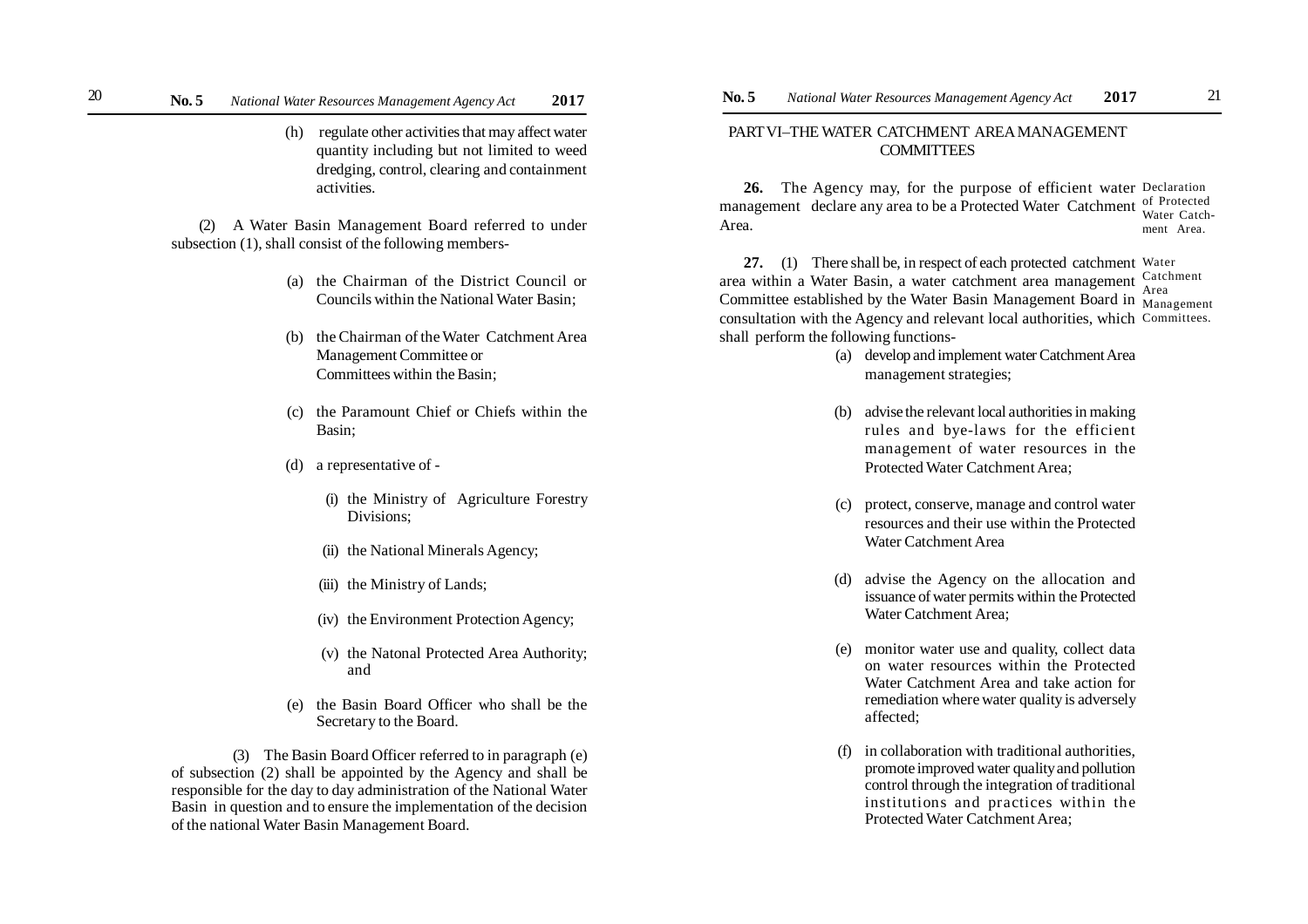(h) regulate other activities that may affect water quantity including but not limited to weed dredging, control, clearing and containment activities.

(2) A Water Basin Management Board referred to under subsection (1), shall consist of the following members-

- (a) the Chairman of the District Council or Councils within the National Water Basin;
- (b) the Chairman of the Water Catchment Area Management Committee or Committees within the Basin;
- (c) the Paramount Chief or Chiefs within the Basin;
- (d) a representative of
	- (i) the Ministry of Agriculture Forestry Divisions;
	- (ii) the National Minerals Agency;
	- (iii) the Ministry of Lands;
	- (iv) the Environment Protection Agency;
	- (v) the Natonal Protected Area Authority; and
- (e) the Basin Board Officer who shall be the Secretary to the Board.

(3) The Basin Board Officer referred to in paragraph (e) of subsection (2) shall be appointed by the Agency and shall be responsible for the day to day administration of the National Water Basin in question and to ensure the implementation of the decision of the national Water Basin Management Board.

# PART VI–THE WATER CATCHMENT AREA MANAGEMENT **COMMITTEES**

**26.** The Agency may, for the purpose of efficient water Declaration management declare any area to be a Protected Water Catchment of Protected Area. Water Catchment Area.

**27.** (1) There shall be, in respect of each protected catchment Water area within a Water Basin, a water catchment area management Catchment Committee established by the Water Basin Management Board in Management consultation with the Agency and relevant local authorities, which Committees.shall perform the following functions- Area

- (a) develop and implement water Catchment Area management strategies;
- (b) advise the relevant local authorities in making rules and bye-laws for the efficient management of water resources in the Protected Water Catchment Area;
- (c) protect, conserve, manage and control water resources and their use within the Protected Water Catchment Area
- (d) advise the Agency on the allocation and issuance of water permits within the Protected Water Catchment Area;
- (e) monitor water use and quality, collect data on water resources within the Protected Water Catchment Area and take action for remediation where water quality is adversely affected;
- (f) in collaboration with traditional authorities, promote improved water quality and pollution control through the integration of traditional institutions and practices within the Protected Water Catchment Area;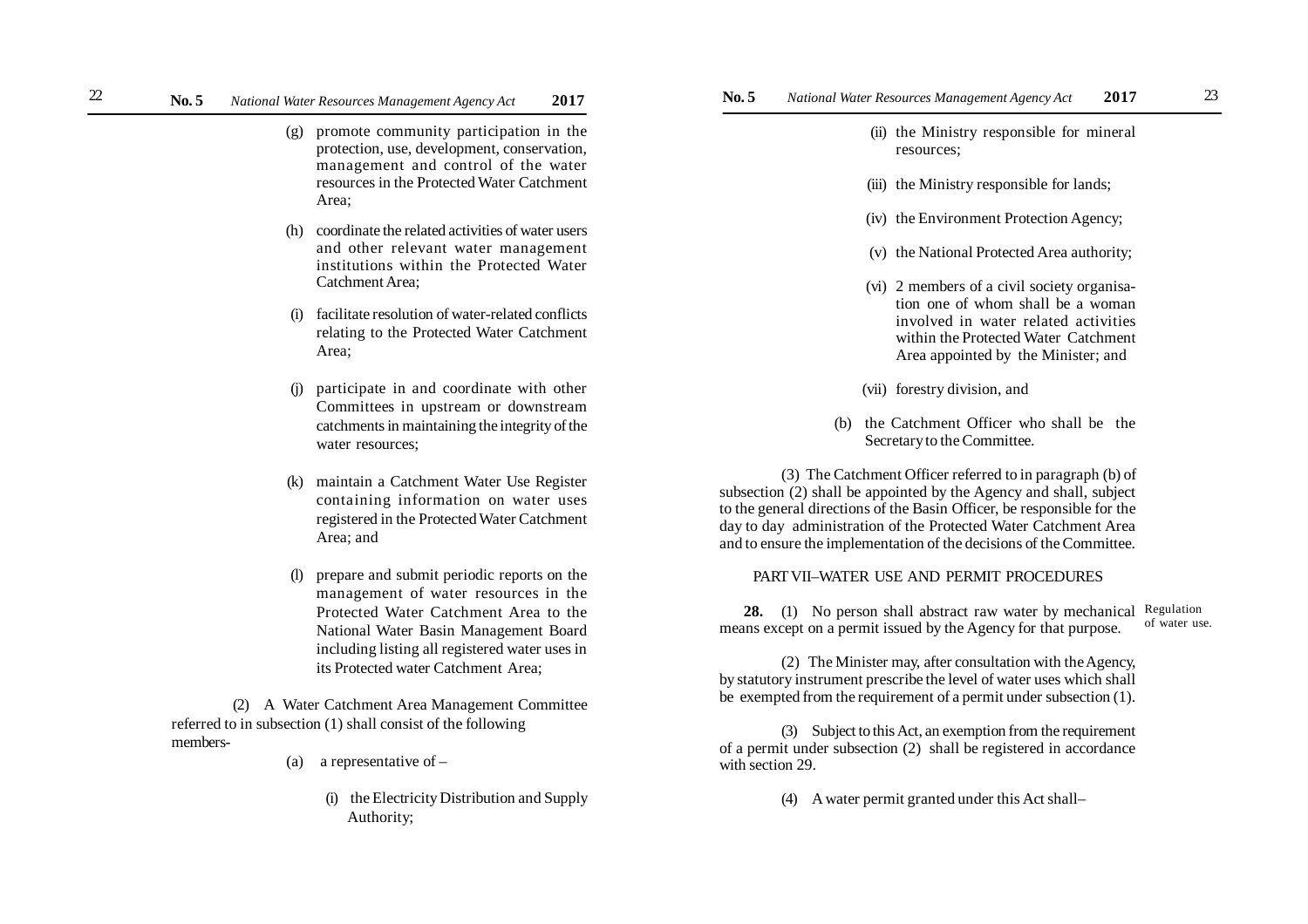- (g) promote community participation in the protection, use, development, conservation, management and control of the water resources in the Protected Water Catchment Area;
- (h) coordinate the related activities of water users and other relevant water management institutions within the Protected Water Catchment Area;
- (i) facilitate resolution of water-related conflicts relating to the Protected Water Catchment Area;
- (j) participate in and coordinate with other Committees in upstream or downstream catchments in maintaining the integrity of the water resources;
- (k) maintain a Catchment Water Use Register containing information on water uses registered in the Protected Water Catchment Area; and
- (l) prepare and submit periodic reports on the management of water resources in the Protected Water Catchment Area to the National Water Basin Management Board including listing all registered water uses in its Protected water Catchment Area;

(2) A Water Catchment Area Management Committee referred to in subsection (1) shall consist of the following members-

- (a) a representative of  $-$ 
	- (i) the Electricity Distribution and Supply Authority;
- **No. 5** *National Water Resources Management Agency Act* **2017 No. 5** *National Water Resources Management Agency Act* **2017** 22 23
	- (ii) the Ministry responsible for mineral resources;
	- (iii) the Ministry responsible for lands;
	- (iv) the Environment Protection Agency;
	- (v) the National Protected Area authority;
	- (vi) 2 members of a civil society organisation one of whom shall be a woman involved in water related activities within the Protected Water Catchment Area appointed by the Minister; and
	- (vii) forestry division, and
	- (b) the Catchment Officer who shall be the Secretary to the Committee.

(3) The Catchment Officer referred to in paragraph (b) of subsection (2) shall be appointed by the Agency and shall, subject to the general directions of the Basin Officer, be responsible for the day to day administration of the Protected Water Catchment Area and to ensure the implementation of the decisions of the Committee.

### PART VII–WATER USE AND PERMIT PROCEDURES

**28.** (1) No person shall abstract raw water by mechanical Regulation means except on a permit issued by the Agency for that purpose. of water use.

(2) The Minister may, after consultation with the Agency, by statutory instrument prescribe the level of water uses which shall be exempted from the requirement of a permit under subsection (1).

(3) Subject to this Act, an exemption from the requirement of a permit under subsection (2) shall be registered in accordance with section 29.

(4) A water permit granted under this Act shall–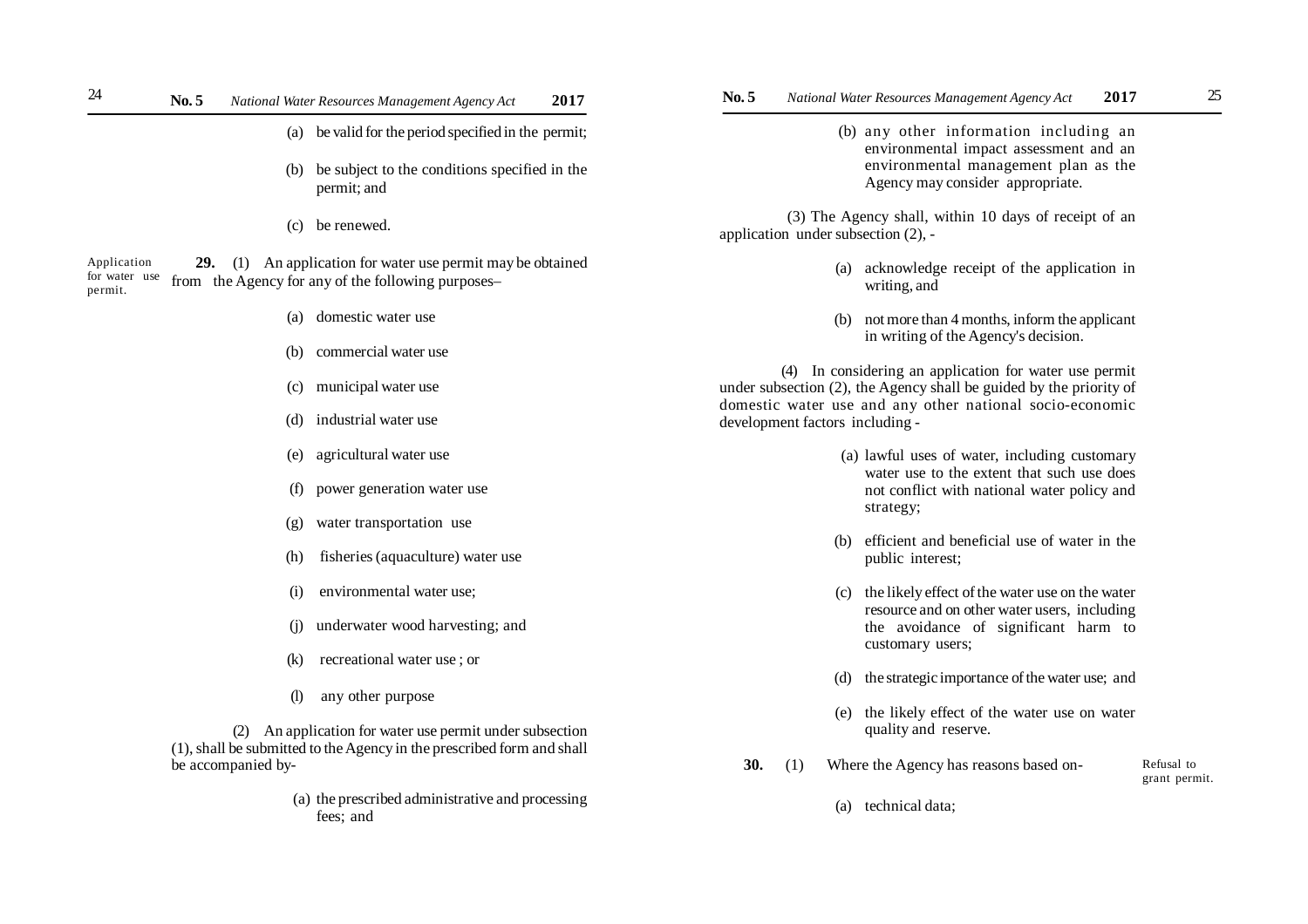- (a) be valid for the period specified in the permit;
- (b) be subject to the conditions specified in the permit; and
- (c) be renewed.

 **29.** (1) An application for water use permit may be obtained from the Agency for any of the following purposes– Application for water use permit.

- (a) domestic water use
- (b) commercial water use
- (c) municipal water use
- (d) industrial water use
- (e) agricultural water use
- (f) power generation water use
- (g) water transportation use
- (h) fisheries (aquaculture) water use
- (i) environmental water use;
- (j) underwater wood harvesting; and
- (k) recreational water use ; or
- (l) any other purpose

(2) An application for water use permit under subsection (1), shall be submitted to the Agency in the prescribed form and shall be accompanied by-

> (a) the prescribed administrative and processing fees; and

 (b) any other information including an environmental impact assessment and an environmental management plan as the Agency may consider appropriate.

 (3) The Agency shall, within 10 days of receipt of an application under subsection (2), -

- (a) acknowledge receipt of the application in writing, and
- (b) not more than 4 months, inform the applicant in writing of the Agency's decision.

(4) In considering an application for water use permit under subsection (2), the Agency shall be guided by the priority of domestic water use and any other national socio-economic development factors including -

- (a) lawful uses of water, including customary water use to the extent that such use does not conflict with national water policy and strategy;
- (b) efficient and beneficial use of water in the public interest;
- (c) the likely effect of the water use on the water resource and on other water users, including the avoidance of significant harm to customary users;
- (d) the strategic importance of the water use; and
- (e) the likely effect of the water use on water quality and reserve.
- **30.** (1) Where the Agency has reasons based on- Refusal to grant permit.
	- (a) technical data;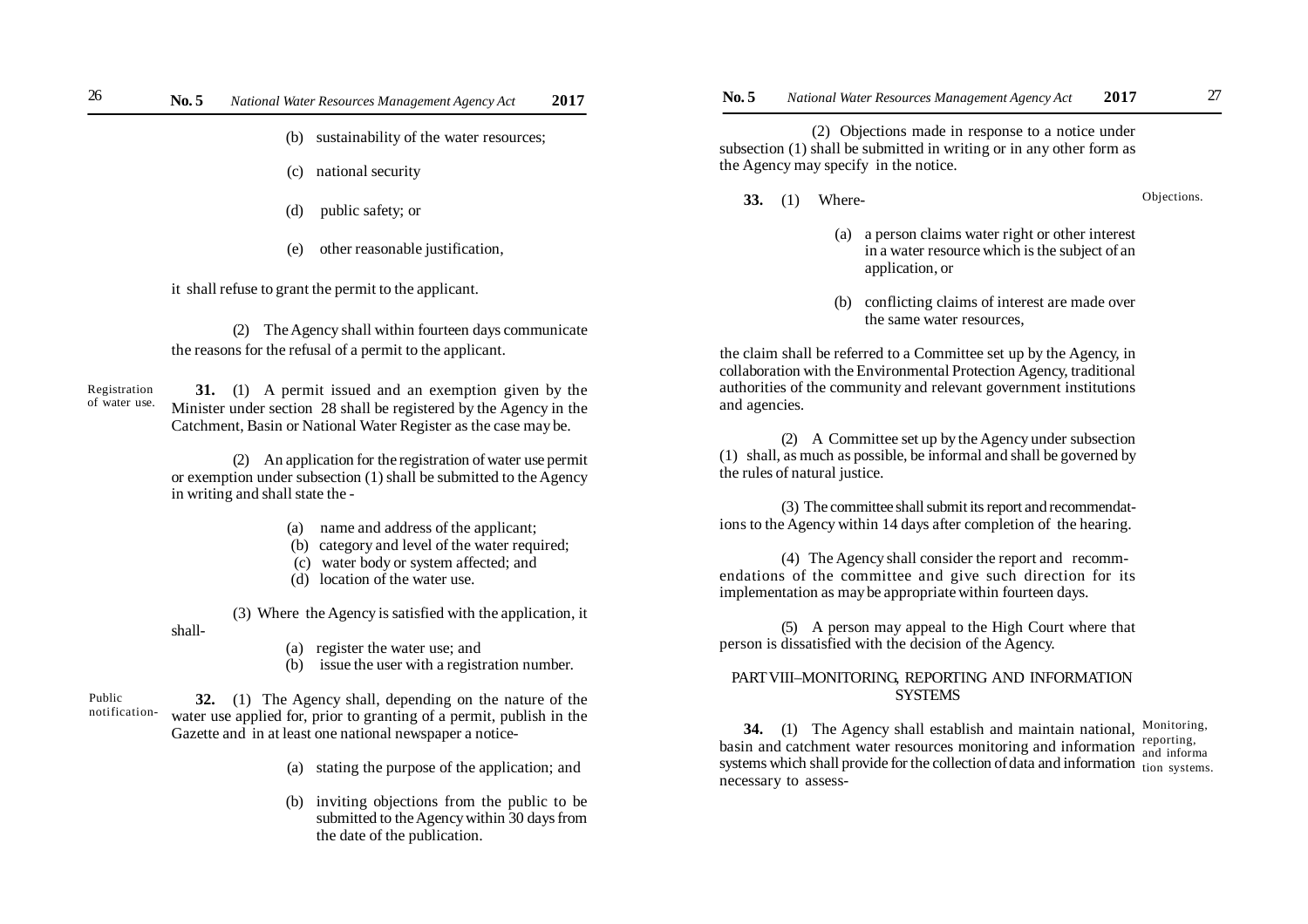- (b) sustainability of the water resources;
- (c) national security
- (d) public safety; or
- (e) other reasonable justification,

it shall refuse to grant the permit to the applicant.

(2) The Agency shall within fourteen days communicate the reasons for the refusal of a permit to the applicant.

**31.** (1) A permit issued and an exemption given by the Minister under section 28 shall be registered by the Agency in the Catchment, Basin or National Water Register as the case may be. Registration of water use.

> (2) An application for the registration of water use permit or exemption under subsection (1) shall be submitted to the Agency in writing and shall state the -

- (a) name and address of the applicant;
- (b) category and level of the water required;
- (c) water body or system affected; and
- (d) location of the water use.

(3) Where the Agency is satisfied with the application, it shall-

- (a) register the water use; and
- (b) issue the user with a registration number.

**32.** (1) The Agency shall, depending on the nature of the water use applied for, prior to granting of a permit, publish in the Gazette and in at least one national newspaper a notice- Public notification-

- (a) stating the purpose of the application; and
- (b) inviting objections from the public to be submitted to the Agency within 30 days from the date of the publication.

(2) Objections made in response to a notice under subsection (1) shall be submitted in writing or in any other form as the Agency may specify in the notice.

**33.** (1) Where-

Objections.

- (a) a person claims water right or other interest in a water resource which is the subject of an application, or
- (b) conflicting claims of interest are made over the same water resources,

the claim shall be referred to a Committee set up by the Agency, in collaboration with the Environmental Protection Agency, traditional authorities of the community and relevant government institutions and agencies.

(2) A Committee set up by the Agency under subsection (1) shall, as much as possible, be informal and shall be governed by the rules of natural justice.

(3) The committee shall submit its report and recommendations to the Agency within 14 days after completion of the hearing.

(4) The Agency shall consider the report and recommendations of the committee and give such direction for its implementation as may be appropriate within fourteen days.

(5) A person may appeal to the High Court where that person is dissatisfied with the decision of the Agency.

## PART VIII–MONITORING, REPORTING AND INFORMATION SYSTEMS

**34.** (1) The Agency shall establish and maintain national, Monitoring,  $\frac{1}{2}$  basin and catchment water resources monitoring and information  $\frac{1}{2}$  reporting, systems which shall provide for the collection of data and information tion systems. necessary to assessand informa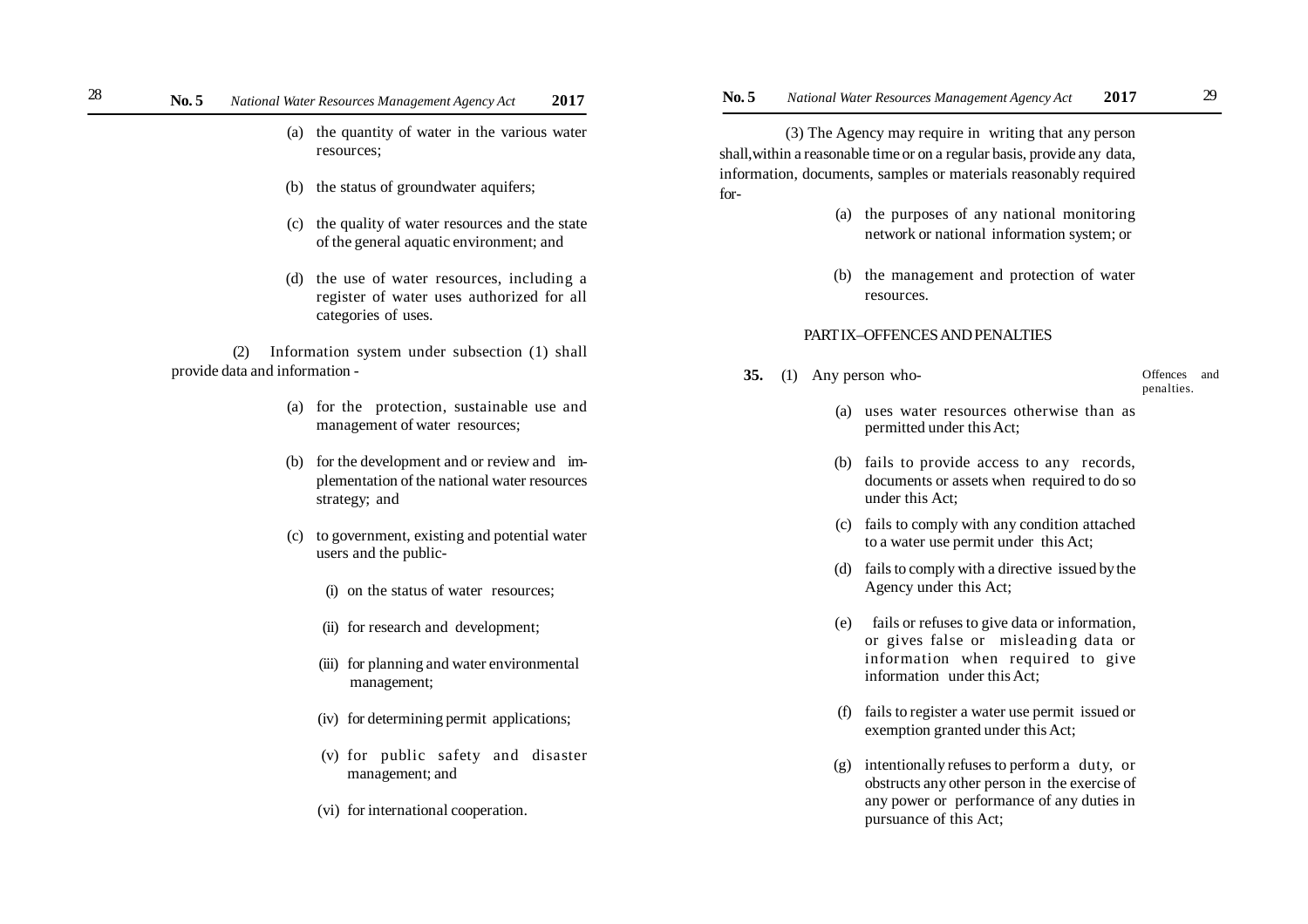- (a) the quantity of water in the various water resources;
- (b) the status of groundwater aquifers;
- (c) the quality of water resources and the state of the general aquatic environment; and
- (d) the use of water resources, including a register of water uses authorized for all categories of uses.

(2) Information system under subsection (1) shall provide data and information -

- (a) for the protection, sustainable use and management of water resources;
- (b) for the development and or review and implementation of the national water resources strategy; and
- (c) to government, existing and potential water users and the public-
	- (i) on the status of water resources;
	- (ii) for research and development;
	- (iii) for planning and water environmental management;
	- (iv) for determining permit applications;
	- (v) for public safety and disaster management; and
	- (vi) for international cooperation.

 (3) The Agency may require in writing that any person shall,within a reasonable time or on a regular basis, provide any data, information, documents, samples or materials reasonably required for-

- (a) the purposes of any national monitoring network or national information system; or
- (b) the management and protection of water resources.

### PART IX–OFFENCES AND PENALTIES

**35.** (1) Any person who-

Offences and penalties.

- (a) uses water resources otherwise than as permitted under this Act;
- (b) fails to provide access to any records, documents or assets when required to do so under this Act;
- (c) fails to comply with any condition attached to a water use permit under this Act;
- (d) fails to comply with a directive issued by the Agency under this Act;
- (e) fails or refuses to give data or information, or gives false or misleading data or information when required to give information under this Act;
- (f) fails to register a water use permit issued or exemption granted under this Act;
- (g) intentionally refuses to perform a duty, or obstructs any other person in the exercise of any power or performance of any duties in pursuance of this Act;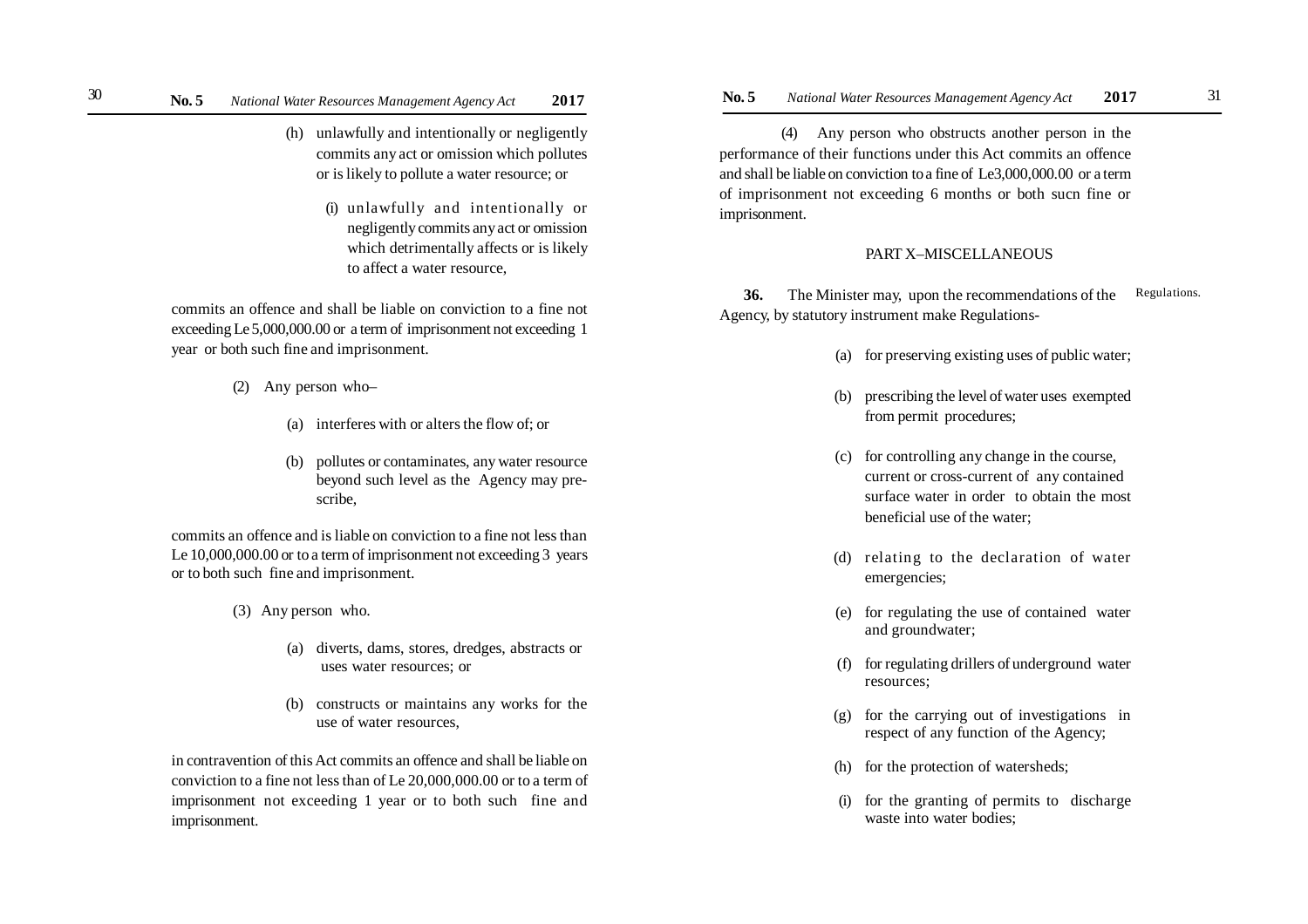- (h) unlawfully and intentionally or negligently commits any act or omission which pollutes or is likely to pollute a water resource; or
	- (i) unlawfully and intentionally or negligently commits any act or omission which detrimentally affects or is likely to affect a water resource,

commits an offence and shall be liable on conviction to a fine not exceeding Le 5,000,000.00 or a term of imprisonment not exceeding 1 year or both such fine and imprisonment.

- (2) Any person who–
	- (a) interferes with or alters the flow of; or
	- (b) pollutes or contaminates, any water resource beyond such level as the Agency may prescribe,

commits an offence and is liable on conviction to a fine not less than Le 10,000,000.00 or to a term of imprisonment not exceeding 3 years or to both such fine and imprisonment.

- (3) Any person who.
	- (a) diverts, dams, stores, dredges, abstracts or uses water resources; or
	- (b) constructs or maintains any works for the use of water resources,

in contravention of this Act commits an offence and shall be liable on conviction to a fine not less than of Le 20,000,000.00 or to a term of imprisonment not exceeding 1 year or to both such fine and imprisonment.

(4) Any person who obstructs another person in the performance of their functions under this Act commits an offence and shall be liable on conviction to a fine of Le3,000,000.00 or a term of imprisonment not exceeding 6 months or both sucn fine or imprisonment.

## PART X–MISCELLANEOUS

**36.** The Minister may, upon the recommendations of the Agency, by statutory instrument make Regulations- Regulations.

- (a) for preserving existing uses of public water;
- (b) prescribing the level of water uses exempted from permit procedures;
- (c) for controlling any change in the course, current or cross-current of any contained surface water in order to obtain the most beneficial use of the water;
- (d) relating to the declaration of water emergencies;
- (e) for regulating the use of contained water and groundwater;
- (f) for regulating drillers of underground water resources;
- (g) for the carrying out of investigations in respect of any function of the Agency;
- (h) for the protection of watersheds;
- (i) for the granting of permits to discharge waste into water bodies;